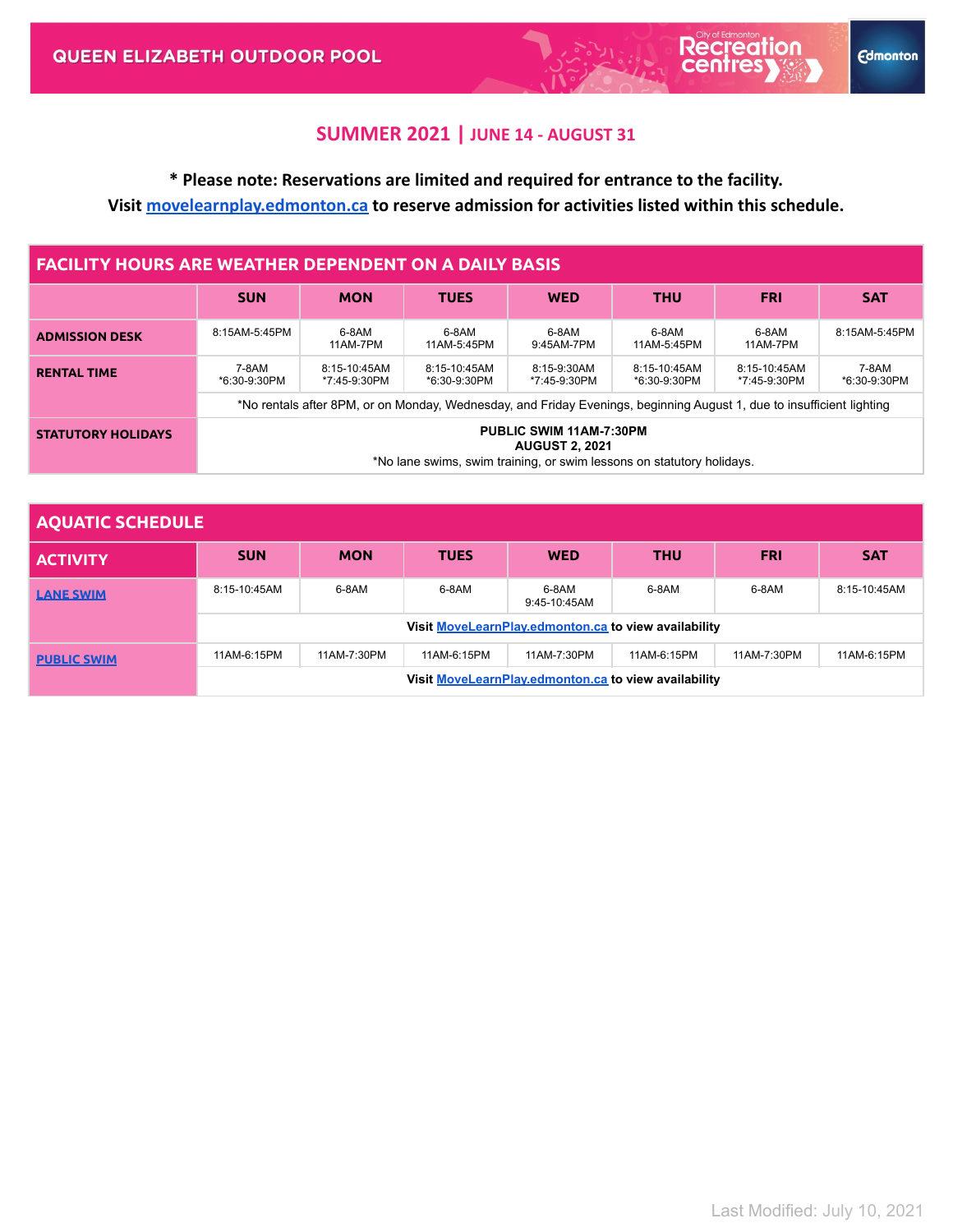**Recreation** 

**Edmonton** 

# **\* Please note: Reservations are limited and required for entrance to the facility. Visit [movelearnplay.edmonton.ca](https://movelearnplay.edmonton.ca/COE/public/category/browse/RECADMISSION) to reserve admission for activities listed within this schedule.**

| <b>FACILITY HOURS ARE WEATHER DEPENDENT ON A DAILY BASIS</b> |                                                                                                                           |                              |                              |                             |                              |                              |                       |  |
|--------------------------------------------------------------|---------------------------------------------------------------------------------------------------------------------------|------------------------------|------------------------------|-----------------------------|------------------------------|------------------------------|-----------------------|--|
|                                                              | <b>SUN</b>                                                                                                                | <b>MON</b>                   | <b>TUES</b>                  | <b>WED</b>                  | <b>THU</b>                   | <b>FRI</b>                   | <b>SAT</b>            |  |
| <b>ADMISSION DESK</b>                                        | 8:15AM-5:45PM                                                                                                             | 6-8AM<br>11AM-7PM            | 6-8AM<br>11AM-5:45PM         | 6-8AM<br>9:45AM-7PM         | 6-8AM<br>11AM-5:45PM         | 6-8AM<br>11AM-7PM            | 8:15AM-5:45PM         |  |
| <b>RENTAL TIME</b>                                           | 7-8AM<br>*6:30-9:30PM                                                                                                     | 8:15-10:45AM<br>*7:45-9:30PM | 8:15-10:45AM<br>*6:30-9:30PM | 8:15-9:30AM<br>*7:45-9:30PM | 8:15-10:45AM<br>*6:30-9:30PM | 8:15-10:45AM<br>*7:45-9:30PM | 7-8AM<br>*6:30-9:30PM |  |
|                                                              | *No rentals after 8PM, or on Monday, Wednesday, and Friday Evenings, beginning August 1, due to insufficient lighting     |                              |                              |                             |                              |                              |                       |  |
| <b>STATUTORY HOLIDAYS</b>                                    | PUBLIC SWIM 11AM-7:30PM<br><b>AUGUST 2, 2021</b><br>*No lane swims, swim training, or swim lessons on statutory holidays. |                              |                              |                             |                              |                              |                       |  |

| <b>AQUATIC SCHEDULE</b> |                                                      |             |             |                       |             |             |              |  |
|-------------------------|------------------------------------------------------|-------------|-------------|-----------------------|-------------|-------------|--------------|--|
| <b>ACTIVITY</b>         | <b>SUN</b>                                           | <b>MON</b>  | <b>TUES</b> | <b>WED</b>            | <b>THU</b>  | <b>FRI</b>  | <b>SAT</b>   |  |
| <b>LANE SWIM</b>        | 8:15-10:45AM                                         | 6-8AM       | 6-8AM       | 6-8AM<br>9:45-10:45AM | 6-8AM       | 6-8AM       | 8:15-10:45AM |  |
|                         | Visit MoveLearnPlay.edmonton.ca to view availability |             |             |                       |             |             |              |  |
| <b>PUBLIC SWIM</b>      | 11AM-6:15PM                                          | 11AM-7:30PM | 11AM-6:15PM | 11AM-7:30PM           | 11AM-6:15PM | 11AM-7:30PM | 11AM-6:15PM  |  |
|                         | Visit MoveLearnPlay.edmonton.ca to view availability |             |             |                       |             |             |              |  |